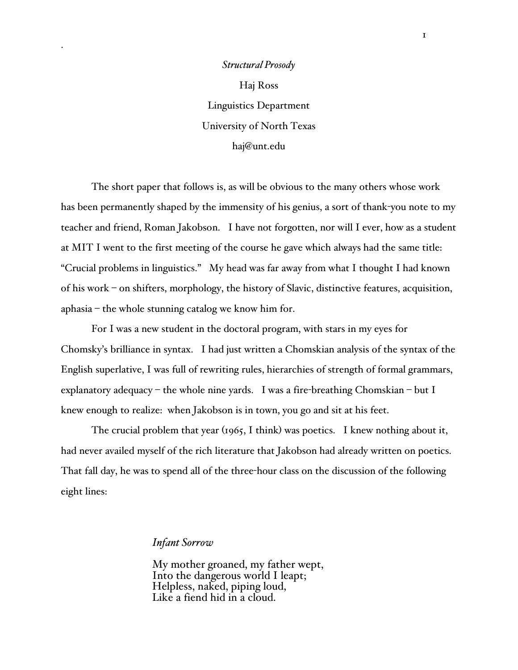*Structural Prosody* Haj Ross Linguistics Department University of North Texas haj@unt.edu

.

The short paper that follows is, as will be obvious to the many others whose work has been permanently shaped by the immensity of his genius, a sort of thank-you note to my teacher and friend, Roman Jakobson. I have not forgotten, nor will I ever, how as a student at MIT I went to the first meeting of the course he gave which always had the same title: "Crucial problems in linguistics." My head was far away from what I thought I had known of his work – on shifters, morphology, the history of Slavic, distinctive features, acquisition, aphasia – the whole stunning catalog we know him for.

For I was a new student in the doctoral program, with stars in my eyes for Chomsky's brilliance in syntax. I had just written a Chomskian analysis of the syntax of the English superlative, I was full of rewriting rules, hierarchies of strength of formal grammars, explanatory adequacy – the whole nine yards. I was a fire-breathing Chomskian – but I knew enough to realize: when Jakobson is in town, you go and sit at his feet.

The crucial problem that year (1965, I think) was poetics. I knew nothing about it, had never availed myself of the rich literature that Jakobson had already written on poetics. That fall day, he was to spend all of the three-hour class on the discussion of the following eight lines:

## *Infant Sorrow*

My mother groaned, my father wept, Into the dangerous world I leapt; Helpless, naked, piping loud, Like <sup>a</sup> fiend hid in <sup>a</sup> cloud.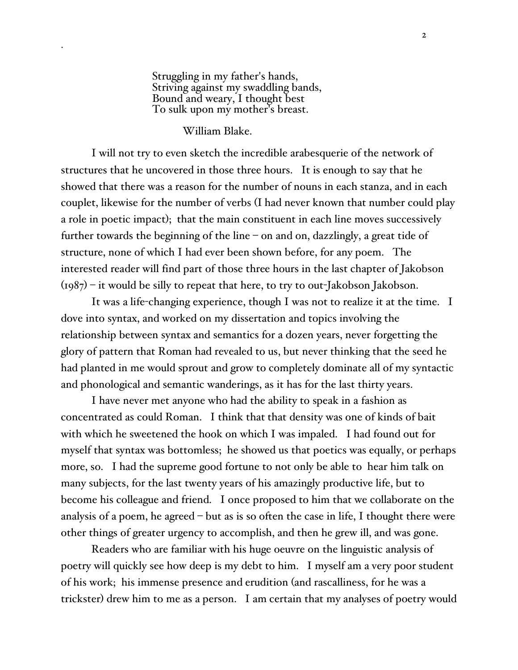Struggling in my father's hands, Striving against my swaddling bands, Bound and weary, I thought best To sulk upon my mother's breast.

## William Blake.

.

I will not try to even sketch the incredible arabesquerie of the network of structures that he uncovered in those three hours. It is enough to say that he showed that there was a reason for the number of nouns in each stanza, and in each couplet, likewise for the number of verbs (I had never known that number could play a role in poetic impact); that the main constituent in each line moves successively further towards the beginning of the line – on and on, dazzlingly, a great tide of structure, none of which I had ever been shown before, for any poem. The interested reader will find part of those three hours in the last chapter of Jakobson  $(1987)$  – it would be silly to repeat that here, to try to out-Jakobson Jakobson.

It was a life-changing experience, though I was not to realize it at the time. I dove into syntax, and worked on my dissertation and topics involving the relationship between syntax and semantics for a dozen years, never forgetting the glory of pattern that Roman had revealed to us, but never thinking that the seed he had planted in me would sprout and grow to completely dominate all of my syntactic and phonological and semantic wanderings, as it has for the last thirty years.

I have never met anyone who had the ability to speak in a fashion as concentrated as could Roman. I think that that density was one of kinds of bait with which he sweetened the hook on which I was impaled. I had found out for myself that syntax was bottomless; he showed us that poetics was equally, or perhaps more, so. I had the supreme good fortune to not only be able to hear him talk on many subjects, for the last twenty years of his amazingly productive life, but to become his colleague and friend. I once proposed to him that we collaborate on the analysis of a poem, he agreed – but as is so often the case in life, I thought there were other things of greater urgency to accomplish, and then he grew ill, and was gone.

Readers who are familiar with his huge oeuvre on the linguistic analysis of poetry will quickly see how deep is my debt to him. I myself am a very poor student of his work; his immense presence and erudition (and rascalliness, for he was a trickster) drew him to me as a person. I am certain that my analyses of poetry would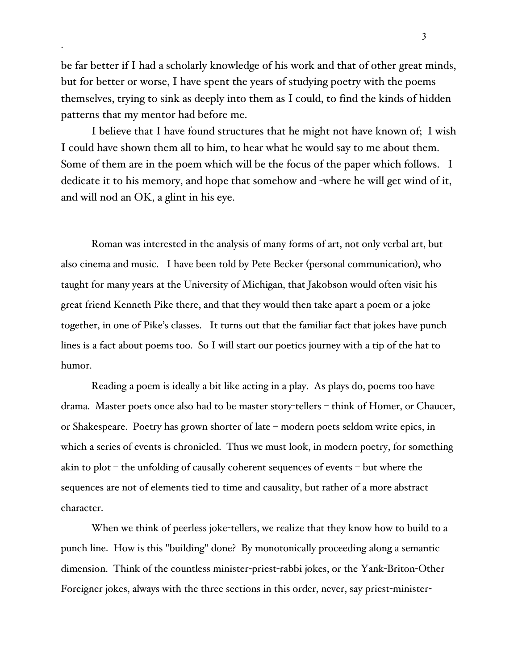be far better if I had a scholarly knowledge of his work and that of other great minds, but for better or worse, I have spent the years of studying poetry with the poems themselves, trying to sink as deeply into them as I could, to find the kinds of hidden patterns that my mentor had before me.

.

I believe that I have found structures that he might not have known of; I wish I could have shown them all to him, to hear what he would say to me about them. Some of them are in the poem which will be the focus of the paper which follows. I dedicate it to his memory, and hope that somehow and -where he will get wind of it, and will nod an OK, a glint in his eye.

Roman was interested in the analysis of many forms of art, not only verbal art, but also cinema and music. I have been told by Pete Becker (personal communication), who taught for many years at the University of Michigan, that Jakobson would often visit his great friend Kenneth Pike there, and that they would then take apart a poem or a joke together, in one of Pike's classes. It turns out that the familiar fact that jokes have punch lines is a fact about poems too. So I will start our poetics journey with a tip of the hat to humor.

Reading a poem is ideally a bit like acting in a play. As plays do, poems too have drama. Master poets once also had to be master story-tellers – think of Homer, or Chaucer, or Shakespeare. Poetry has grown shorter of late – modern poets seldom write epics, in which a series of events is chronicled. Thus we must look, in modern poetry, for something akin to plot – the unfolding of causally coherent sequences of events – but where the sequences are not of elements tied to time and causality, but rather of a more abstract character.

When we think of peerless joke-tellers, we realize that they know how to build to a punch line. How is this "building" done? By monotonically proceeding along a semantic dimension. Think of the countless minister-priest-rabbi jokes, or the Yank-Briton-Other Foreigner jokes, always with the three sections in this order, never, say priest-minister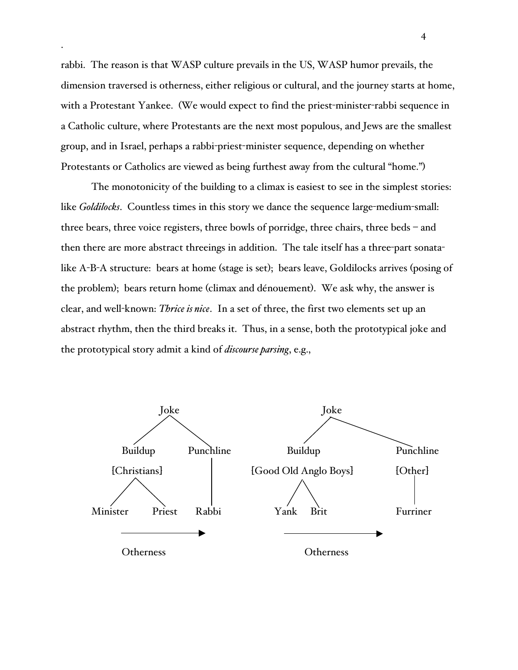rabbi. The reason is that WASP culture prevails in the US, WASP humor prevails, the dimension traversed is otherness, either religious or cultural, and the journey starts at home, with a Protestant Yankee. (We would expect to find the priest-minister-rabbi sequence in a Catholic culture, where Protestants are the next most populous, and Jews are the smallest group, and in Israel, perhaps a rabbi-priest-minister sequence, depending on whether Protestants or Catholics are viewed as being furthest away from the cultural "home.")

.

The monotonicity of the building to a climax is easiest to see in the simplest stories: like *Goldilocks*. Countless times in this story we dance the sequence large-medium-small: three bears, three voice registers, three bowls of porridge, three chairs, three beds – and then there are more abstract threeings in addition. The tale itself has a three-part sonatalike A-B-A structure: bears at home (stage is set); bears leave, Goldilocks arrives (posing of the problem); bears return home (climax and dénouement). We ask why, the answer is clear, and well-known: *Thrice is nice*. In a set of three, the first two elements set up an abstract rhythm, then the third breaks it. Thus, in a sense, both the prototypical joke and the prototypical story admit a kind of *discourse parsing*, e.g.,

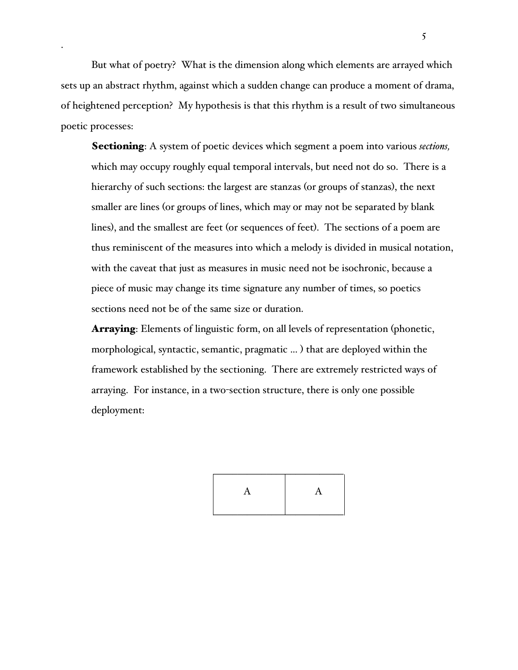But what of poetry? What is the dimension along which elements are arrayed which sets up an abstract rhythm, against which a sudden change can produce a moment of drama, of heightened perception? My hypothesis is that this rhythm is a result of two simultaneous poetic processes:

.

Sectioning: A system of poetic devices which segment a poem into various *sections,* which may occupy roughly equal temporal intervals, but need not do so. There is a hierarchy of such sections: the largest are stanzas (or groups of stanzas), the next smaller are lines (or groups of lines, which may or may not be separated by blank lines), and the smallest are feet (or sequences of feet). The sections of a poem are thus reminiscent of the measures into which a melody is divided in musical notation, with the caveat that just as measures in music need not be isochronic, because a piece of music may change its time signature any number of times, so poetics sections need not be of the same size or duration.

**Arraying**: Elements of linguistic form, on all levels of representation (phonetic, morphological, syntactic, semantic, pragmatic ... ) that are deployed within the framework established by the sectioning. There are extremely restricted ways of arraying. For instance, in a two-section structure, there is only one possible deployment:

| А<br>л |  |
|--------|--|
|        |  |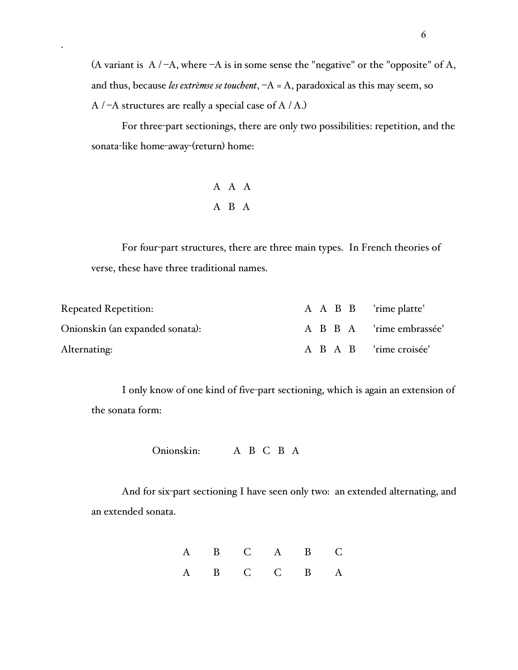(A variant is  $A / -A$ , where  $-A$  is in some sense the "negative" or the "opposite" of A, and thus, because *les extrèmse se touchent*, –A = A, paradoxical as this may seem, so  $A$  / –A structures are really a special case of  $A$  / A.)

For three-part sectionings, there are only two possibilities: repetition, and the sonata-like home-away-(return) home:

# A A A A B A

.

For four-part structures, there are three main types. In French theories of verse, these have three traditional names.

| <b>Repeated Repetition:</b>     | A A B B 'rime platte' |                          |
|---------------------------------|-----------------------|--------------------------|
| Onionskin (an expanded sonata): |                       | A B B A 'rime embrassée' |
| Alternating:                    |                       | A B A B 'rime croisée'   |

I only know of one kind of five-part sectioning, which is again an extension of the sonata form:

Onionskin: A B C B A

And for six-part sectioning I have seen only two: an extended alternating, and an extended sonata.

|  | A B C A B C |  |  |
|--|-------------|--|--|
|  | A B C C B A |  |  |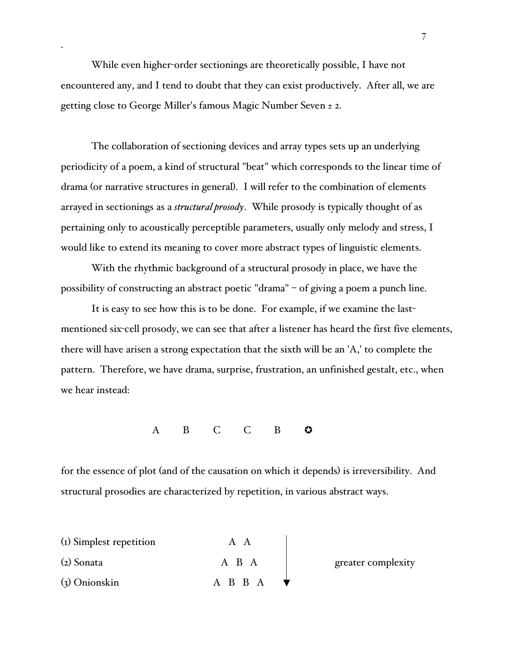While even higher-order sectionings are theoretically possible, I have not encountered any, and I tend to doubt that they can exist productively. After all, we are getting close to George Miller's famous Magic Number Seven ± 2.

.

The collaboration of sectioning devices and array types sets up an underlying periodicity of a poem, a kind of structural "beat" which corresponds to the linear time of drama (or narrative structures in general). I will refer to the combination of elements arrayed in sectionings as a *structural prosody*. While prosody is typically thought of as pertaining only to acoustically perceptible parameters, usually only melody and stress, I would like to extend its meaning to cover more abstract types of linguistic elements.

With the rhythmic background of a structural prosody in place, we have the possibility of constructing an abstract poetic "drama" – of giving a poem a punch line.

It is easy to see how this is to be done. For example, if we examine the lastmentioned six-cell prosody, we can see that after a listener has heard the first five elements, there will have arisen a strong expectation that the sixth will be an 'A,' to complete the pattern. Therefore, we have drama, surprise, frustration, an unfinished gestalt, etc., when we hear instead:

A B C C B **O** 

for the essence of plot (and of the causation on which it depends) is irreversibility. And structural prosodies are characterized by repetition, in various abstract ways.

| (I) Simplest repetition | A A     |                    |  |
|-------------------------|---------|--------------------|--|
| $(z)$ Sonata            | A B A   | greater complexity |  |
| $\chi$ Onionskin        | A B B A |                    |  |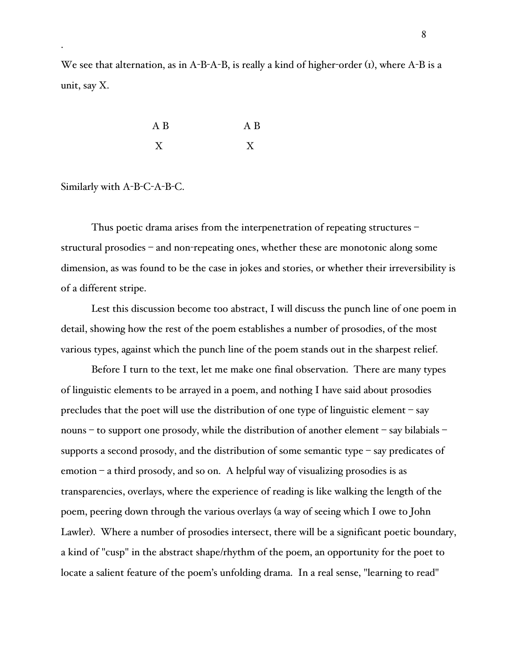We see that alternation, as in A-B-A-B, is really a kind of higher-order  $(i)$ , where A-B is a unit, say X.

| A B | A B |
|-----|-----|
| v   | V   |

### Similarly with A-B-C-A-B-C.

.

Thus poetic drama arises from the interpenetration of repeating structures – structural prosodies – and non-repeating ones, whether these are monotonic along some dimension, as was found to be the case in jokes and stories, or whether their irreversibility is of a different stripe.

Lest this discussion become too abstract, I will discuss the punch line of one poem in detail, showing how the rest of the poem establishes a number of prosodies, of the most various types, against which the punch line of the poem stands out in the sharpest relief.

Before I turn to the text, let me make one final observation. There are many types of linguistic elements to be arrayed in a poem, and nothing I have said about prosodies precludes that the poet will use the distribution of one type of linguistic element – say nouns – to support one prosody, while the distribution of another element – say bilabials – supports a second prosody, and the distribution of some semantic type – say predicates of emotion – a third prosody, and so on. A helpful way of visualizing prosodies is as transparencies, overlays, where the experience of reading is like walking the length of the poem, peering down through the various overlays (a way of seeing which I owe to John Lawler). Where a number of prosodies intersect, there will be a significant poetic boundary, a kind of "cusp" in the abstract shape/rhythm of the poem, an opportunity for the poet to locate a salient feature of the poem's unfolding drama. In a real sense, "learning to read"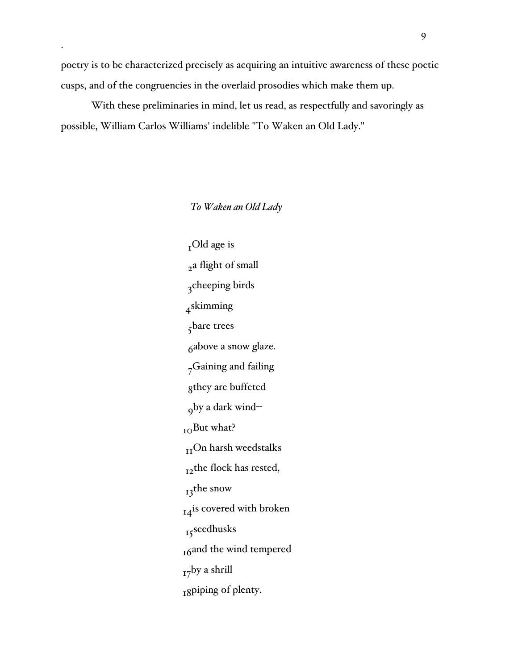poetry is to be characterized precisely as acquiring an intuitive awareness of these poetic cusps, and of the congruencies in the overlaid prosodies which make them up.

.

With these preliminaries in mind, let us read, as respectfully and savoringly as possible, William Carlos Williams' indelible "To Waken an Old Lady."

## *To Waken an Old Lady*

 $_{I}$ Old age is <sub>2</sub>a flight of small 3cheeping birds 4skimming 5bare trees 6above a snow glaze. 7Gaining and failing 8they are buffeted 9by a dark wind-- <sub>10</sub>But what?  $_{\rm II}$  On harsh weedstalks 12the flock has rested, 13the snow 14<sup>is</sup> covered with broken 15seedhusks 16and the wind tempered  $_{17}$ by a shrill 18piping of plenty.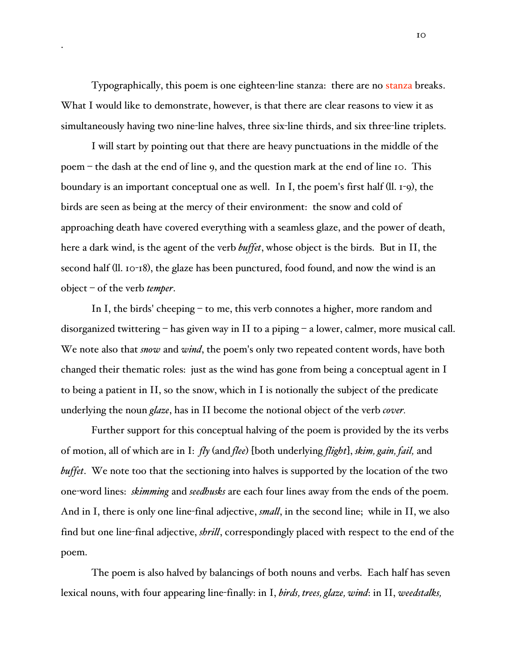Typographically, this poem is one eighteen-line stanza: there are no stanza breaks. What I would like to demonstrate, however, is that there are clear reasons to view it as simultaneously having two nine-line halves, three six-line thirds, and six three-line triplets.

.

I will start by pointing out that there are heavy punctuations in the middle of the poem – the dash at the end of line 9, and the question mark at the end of line 10. This boundary is an important conceptual one as well. In I, the poem's first half (ll. 1-9), the birds are seen as being at the mercy of their environment: the snow and cold of approaching death have covered everything with a seamless glaze, and the power of death, here a dark wind, is the agent of the verb *buffet*, whose object is the birds. But in II, the second half (ll. 10-18), the glaze has been punctured, food found, and now the wind is an object – of the verb *temper*.

In I, the birds' cheeping – to me, this verb connotes a higher, more random and disorganized twittering – has given way in II to a piping – a lower, calmer, more musical call. We note also that *snow* and *wind*, the poem's only two repeated content words, have both changed their thematic roles: just as the wind has gone from being a conceptual agent in I to being a patient in II, so the snow, which in I is notionally the subject of the predicate underlying the noun *glaze*, has in II become the notional object of the verb *cover.*

Further support for this conceptual halving of the poem is provided by the its verbs of motion, all of which are in I: *fly* (and *flee*) [both underlying *flight*], *skim, gain, fail,* and *buffet*. We note too that the sectioning into halves is supported by the location of the two one-word lines: *skimming* and *seedhusks* are each four lines away from the ends of the poem. And in I, there is only one line-final adjective, *small*, in the second line; while in II, we also find but one line-final adjective, *shrill*, correspondingly placed with respect to the end of the poem.

The poem is also halved by balancings of both nouns and verbs. Each half has seven lexical nouns, with four appearing line-finally: in I, *birds, trees, glaze, wind*: in II, *weedstalks,*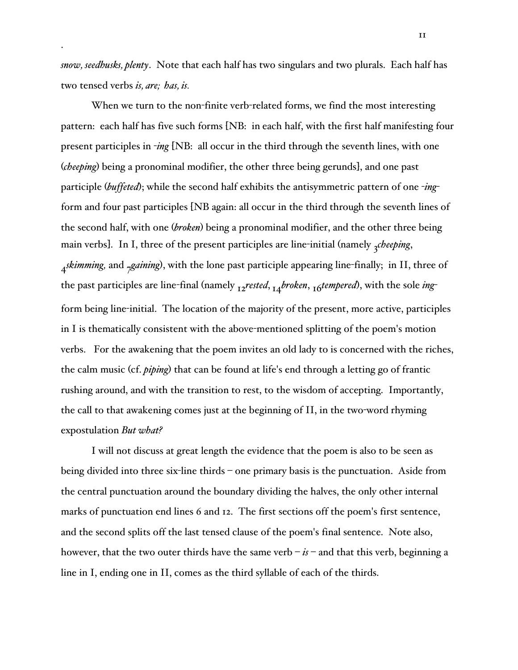*snow, seedhusks, plenty*. Note that each half has two singulars and two plurals. Each half has two tensed verbs *is, are; has, is.*

.

When we turn to the non-finite verb-related forms, we find the most interesting pattern: each half has five such forms [NB: in each half, with the first half manifesting four present participles in -*ing* [NB: all occur in the third through the seventh lines, with one (*cheeping*) being a pronominal modifier, the other three being gerunds], and one past participle (*buffeted*); while the second half exhibits the antisymmetric pattern of one -*ing*form and four past participles [NB again: all occur in the third through the seventh lines of the second half, with one (*broken*) being a pronominal modifier, and the other three being main verbs]. In I, three of the present participles are line-initial (namely <sub>3</sub>*cheeping*, *Askimming,* and *<sub>7</sub>gaining*), with the lone past participle appearing line-finally; in II, three of the past participles are line-final (namely 12*rested*, 14*broken*, 16*tempered*), with the sole *ing*form being line-initial. The location of the majority of the present, more active, participles in I is thematically consistent with the above-mentioned splitting of the poem's motion verbs. For the awakening that the poem invites an old lady to is concerned with the riches, the calm music (cf. *piping*) that can be found at life's end through a letting go of frantic rushing around, and with the transition to rest, to the wisdom of accepting. Importantly, the call to that awakening comes just at the beginning of II, in the two-word rhyming expostulation *But what?*

I will not discuss at great length the evidence that the poem is also to be seen as being divided into three six-line thirds – one primary basis is the punctuation. Aside from the central punctuation around the boundary dividing the halves, the only other internal marks of punctuation end lines 6 and 12. The first sections off the poem's first sentence, and the second splits off the last tensed clause of the poem's final sentence. Note also, however, that the two outer thirds have the same verb  $-i\textbf{s}$  – and that this verb, beginning a line in I, ending one in II, comes as the third syllable of each of the thirds.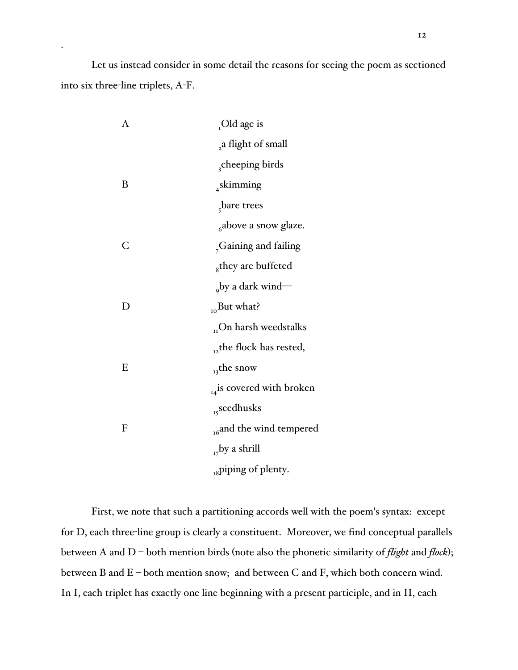Let us instead consider in some detail the reasons for seeing the poem as sectioned into six three-line triplets, A-F.

.

| A | Old age is                          |
|---|-------------------------------------|
|   | ,a flight of small                  |
|   | cheeping birds                      |
| B | $_4$ skimming                       |
|   | bare trees                          |
|   | $6a$ above a snow glaze.            |
| C | <sub>7</sub> Gaining and failing    |
|   | <sub>8</sub> they are buffeted      |
|   | $_{\text{o}}$ by a dark wind—       |
| D | $_{10}$ But what?                   |
|   | $_{\textrm{H}}$ On harsh weedstalks |
|   | $_{12}$ the flock has rested,       |
| E | $_{13}$ the snow                    |
|   | $_{14}$ is covered with broken      |
|   | <sub>15</sub> seedhusks             |
| F | <sub>16</sub> and the wind tempered |
|   | $_{17}$ by a shrill                 |
|   | <sub>18</sub> piping of plenty.     |

First, we note that such a partitioning accords well with the poem's syntax: except for D, each three-line group is clearly a constituent. Moreover, we find conceptual parallels between A and D – both mention birds (note also the phonetic similarity of *flight* and *flock*); between B and E – both mention snow; and between C and F, which both concern wind. In I, each triplet has exactly one line beginning with a present participle, and in II, each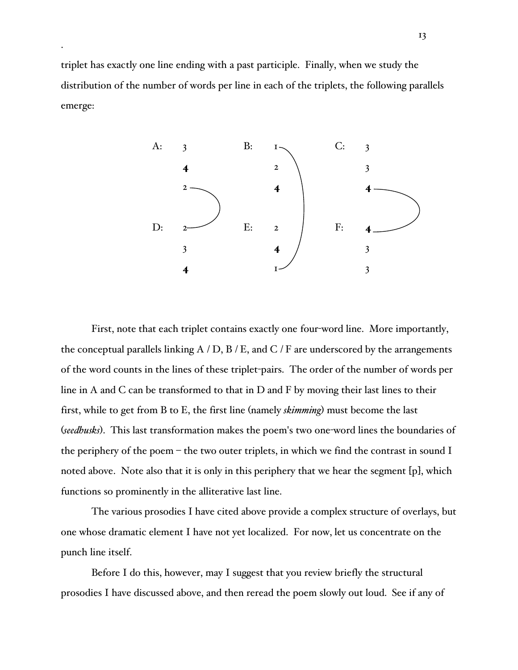triplet has exactly one line ending with a past participle. Finally, when we study the distribution of the number of words per line in each of the triplets, the following parallels emerge:

.



First, note that each triplet contains exactly one four-word line. More importantly, the conceptual parallels linking  $A / D$ ,  $B / E$ , and  $C / F$  are underscored by the arrangements of the word counts in the lines of these triplet-pairs. The order of the number of words per line in A and C can be transformed to that in D and F by moving their last lines to their first, while to get from B to E, the first line (namely *skimming*) must become the last (*seedhusks*). This last transformation makes the poem's two one-word lines the boundaries of the periphery of the poem – the two outer triplets, in which we find the contrast in sound I noted above. Note also that it is only in this periphery that we hear the segment [p], which functions so prominently in the alliterative last line.

The various prosodies I have cited above provide a complex structure of overlays, but one whose dramatic element I have not yet localized. For now, let us concentrate on the punch line itself.

Before I do this, however, may I suggest that you review briefly the structural prosodies I have discussed above, and then reread the poem slowly out loud. See if any of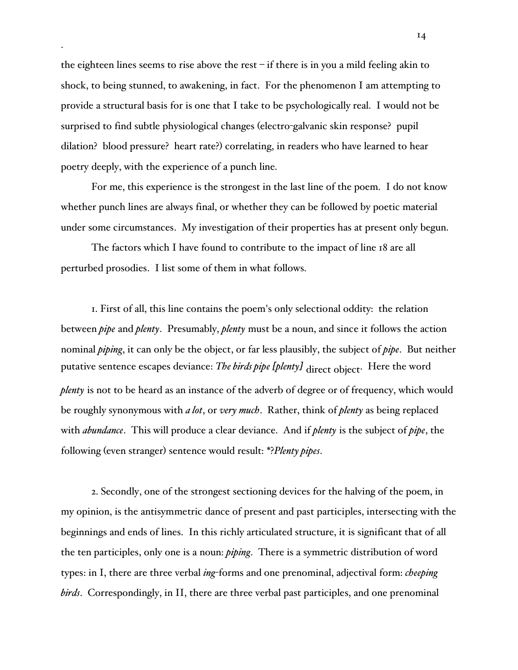the eighteen lines seems to rise above the rest  $-i$  f there is in you a mild feeling akin to shock, to being stunned, to awakening, in fact. For the phenomenon I am attempting to provide a structural basis for is one that I take to be psychologically real. I would not be surprised to find subtle physiological changes (electro-galvanic skin response? pupil dilation? blood pressure? heart rate?) correlating, in readers who have learned to hear poetry deeply, with the experience of a punch line.

.

For me, this experience is the strongest in the last line of the poem. I do not know whether punch lines are always final, or whether they can be followed by poetic material under some circumstances. My investigation of their properties has at present only begun.

The factors which I have found to contribute to the impact of line 18 are all perturbed prosodies. I list some of them in what follows.

1. First of all, this line contains the poem's only selectional oddity: the relation between *pipe* and *plenty*. Presumably, *plenty* must be a noun, and since it follows the action nominal *piping*, it can only be the object, or far less plausibly, the subject of *pipe*. But neither putative sentence escapes deviance: *The birds pipe [plenty]* direct object. Here the word *plenty* is not to be heard as an instance of the adverb of degree or of frequency, which would be roughly synonymous with *a lot*, or *very much*. Rather, think of *plenty* as being replaced with *abundance*. This will produce a clear deviance. And if *plenty* is the subject of *pipe*, the following (even stranger) sentence would result: \*?*Plenty pipes*.

2. Secondly, one of the strongest sectioning devices for the halving of the poem, in my opinion, is the antisymmetric dance of present and past participles, intersecting with the beginnings and ends of lines. In this richly articulated structure, it is significant that of all the ten participles, only one is a noun: *piping*. There is a symmetric distribution of word types: in I, there are three verbal *ing*-forms and one prenominal, adjectival form: *cheeping birds*. Correspondingly, in II, there are three verbal past participles, and one prenominal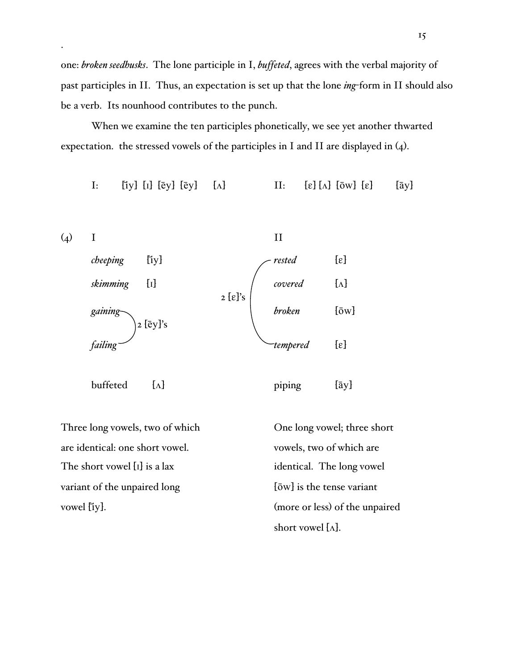one: *broken seedhusks*. The lone participle in I, *buffeted*, agrees with the verbal majority of past participles in II. Thus, an expectation is set up that the lone *ing*-form in II should also be a verb. Its nounhood contributes to the punch.

When we examine the ten participles phonetically, we see yet another thwarted expectation. the stressed vowels of the participles in I and II are displayed in (4).

I: [iy]  $[i]$   $[\bar{e}y]$   $[\bar{e}y]$   $[\Lambda]$   $[1]$   $[\bar{e}y]$   $[\Lambda]$   $[1]$   $[\bar{e}y]$   $[\bar{e}y]$   $[\Lambda]$   $[\bar{e}y]$   $[\bar{e}y]$   $[\Lambda]$ 



.

vowel [iy]. (more or less) of the unpaired short vowel  $[\Lambda]$ .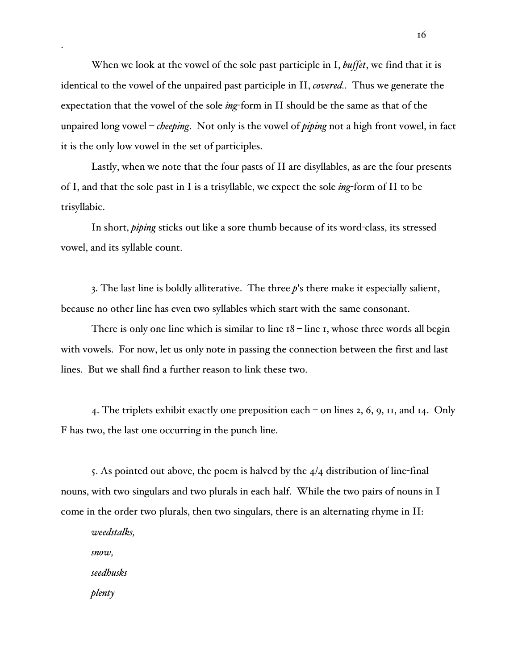When we look at the vowel of the sole past participle in I, *buffet*, we find that it is identical to the vowel of the unpaired past participle in II, *covered.*. Thus we generate the expectation that the vowel of the sole *ing*-form in II should be the same as that of the unpaired long vowel – *cheeping*. Not only is the vowel of *piping* not a high front vowel, in fact it is the only low vowel in the set of participles.

Lastly, when we note that the four pasts of II are disyllables, as are the four presents of I, and that the sole past in I is a trisyllable, we expect the sole *ing*-form of II to be trisyllabic.

In short, *piping* sticks out like a sore thumb because of its word-class, its stressed vowel, and its syllable count.

3. The last line is boldly alliterative. The three *p*'s there make it especially salient, because no other line has even two syllables which start with the same consonant.

There is only one line which is similar to line  $18 -$  line 1, whose three words all begin with vowels. For now, let us only note in passing the connection between the first and last lines. But we shall find a further reason to link these two.

4. The triplets exhibit exactly one preposition each – on lines 2, 6, 9, 11, and 14. Only F has two, the last one occurring in the punch line.

5. As pointed out above, the poem is halved by the  $4/4$  distribution of line-final nouns, with two singulars and two plurals in each half. While the two pairs of nouns in I come in the order two plurals, then two singulars, there is an alternating rhyme in II:

*weedstalks, snow, seedhusks plenty*

.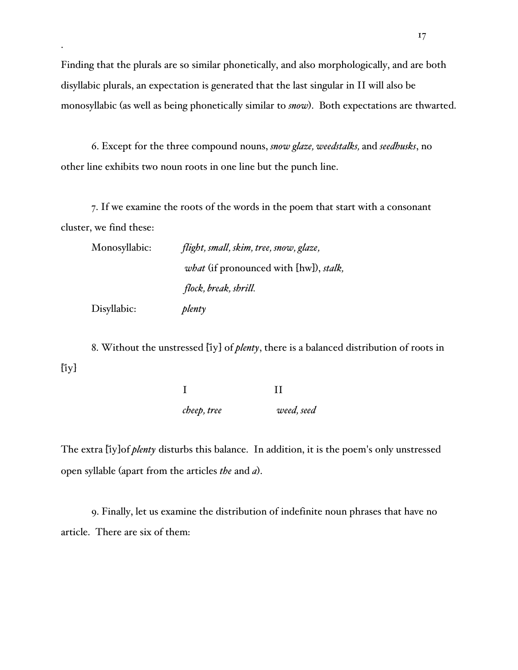Finding that the plurals are so similar phonetically, and also morphologically, and are both disyllabic plurals, an expectation is generated that the last singular in II will also be monosyllabic (as well as being phonetically similar to *snow*). Both expectations are thwarted.

6. Except for the three compound nouns, *snow glaze, weedstalks,* and *seedhusks*, no other line exhibits two noun roots in one line but the punch line.

7. If we examine the roots of the words in the poem that start with a consonant cluster, we find these:

| Monosyllabic: | flight, small, skim, tree, snow, glaze,               |
|---------------|-------------------------------------------------------|
|               | <i>what</i> (if pronounced with [hw]), <i>stalk</i> , |
|               | flock, break, shrill.                                 |
| Disyllabic:   | plenty                                                |

.

8. Without the unstressed [iy] of *plenty*, there is a balanced distribution of roots in  $[iy]$ 

> I II *cheep, tree weed, seed*

The extra [iy]of *plenty* disturbs this balance. In addition, it is the poem's only unstressed open syllable (apart from the articles *the* and *a*).

9. Finally, let us examine the distribution of indefinite noun phrases that have no article. There are six of them: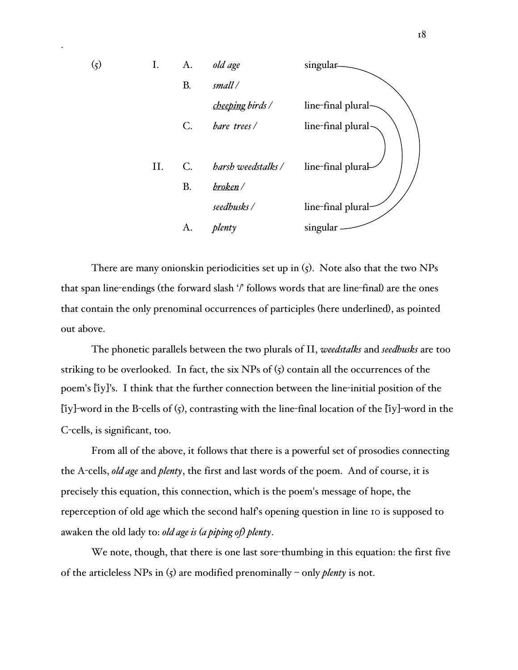

.

There are many onionskin periodicities set up in (5). Note also that the two NPs that span line-endings (the forward slash '/' follows words that are line-final) are the ones that contain the only prenominal occurrences of participles (here underlined), as pointed out above.

The phonetic parallels between the two plurals of II, *weedstalks* and *seedhusks* are too striking to be overlooked. In fact, the six NPs of  $(5)$  contain all the occurrences of the poem's [iy]'s. I think that the further connection between the line-initial position of the [iy]-word in the B-cells of  $(5)$ , contrasting with the line-final location of the [iy]-word in the C-cells, is significant, too.

From all of the above, it follows that there is a powerful set of prosodies connecting the A-cells, *old age* and *plenty*, the first and last words of the poem. And of course, it is precisely this equation, this connection, which is the poem's message of hope, the reperception of old age which the second half's opening question in line 10 is supposed to awaken the old lady to: *old age is (a piping of) plenty*.

We note, though, that there is one last sore-thumbing in this equation: the first five of the articleless NPs in (5) are modified prenominally – only *plenty* is not.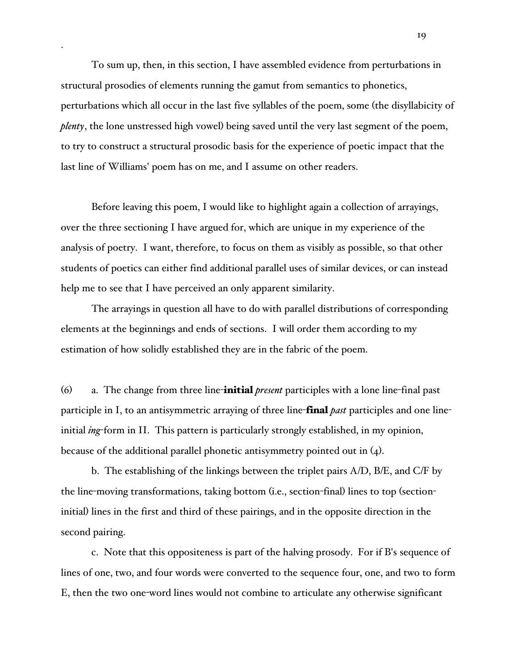To sum up, then, in this section, I have assembled evidence from perturbations in structural prosodies of elements running the gamut from semantics to phonetics, perturbations which all occur in the last five syllables of the poem, some (the disyllabicity of *plenty*, the lone unstressed high vowel) being saved until the very last segment of the poem, to try to construct a structural prosodic basis for the experience of poetic impact that the last line of Williams' poem has on me, and I assume on other readers.

.

Before leaving this poem, I would like to highlight again a collection of arrayings, over the three sectioning I have argued for, which are unique in my experience of the analysis of poetry. I want, therefore, to focus on them as visibly as possible, so that other students of poetics can either find additional parallel uses of similar devices, or can instead help me to see that I have perceived an only apparent similarity.

The arrayings in question all have to do with parallel distributions of corresponding elements at the beginnings and ends of sections. I will order them according to my estimation of how solidly established they are in the fabric of the poem.

(6) a. The change from three line-initial *present* participles with a lone line-final past participle in I, to an antisymmetric arraying of three line-final *past* participles and one lineinitial *ing*-form in II. This pattern is particularly strongly established, in my opinion, because of the additional parallel phonetic antisymmetry pointed out in  $(4)$ .

b. The establishing of the linkings between the triplet pairs A/D, B/E, and C/F by the line-moving transformations, taking bottom (i.e., section-final) lines to top (sectioninitial) lines in the first and third of these pairings, and in the opposite direction in the second pairing.

c. Note that this oppositeness is part of the halving prosody. For if B's sequence of lines of one, two, and four words were converted to the sequence four, one, and two to form E, then the two one-word lines would not combine to articulate any otherwise significant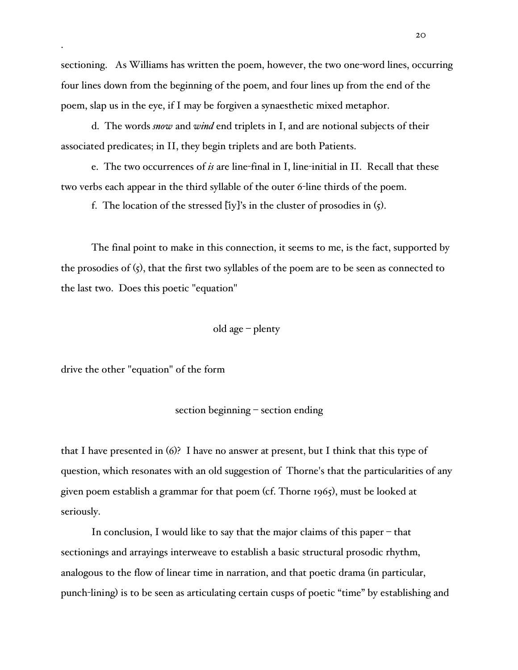sectioning. As Williams has written the poem, however, the two one-word lines, occurring four lines down from the beginning of the poem, and four lines up from the end of the poem, slap us in the eye, if I may be forgiven a synaesthetic mixed metaphor.

d. The words *snow* and *wind* end triplets in I, and are notional subjects of their associated predicates; in II, they begin triplets and are both Patients.

e. The two occurrences of *is* are line-final in I, line-initial in II. Recall that these two verbs each appear in the third syllable of the outer 6-line thirds of the poem.

f. The location of the stressed  $[$ iy]'s in the cluster of prosodies in  $(5)$ .

The final point to make in this connection, it seems to me, is the fact, supported by the prosodies of (5), that the first two syllables of the poem are to be seen as connected to the last two. Does this poetic "equation"

### old age – plenty

drive the other "equation" of the form

.

## section beginning – section ending

that I have presented in (6)? I have no answer at present, but I think that this type of question, which resonates with an old suggestion of Thorne's that the particularities of any given poem establish a grammar for that poem (cf. Thorne 1965), must be looked at seriously.

In conclusion, I would like to say that the major claims of this paper – that sectionings and arrayings interweave to establish a basic structural prosodic rhythm, analogous to the flow of linear time in narration, and that poetic drama (in particular, punch-lining) is to be seen as articulating certain cusps of poetic "time" by establishing and